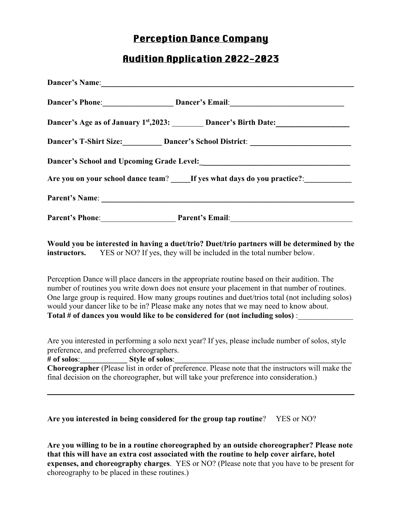## Perception Dance Company

## Audition Application 2022-2023

| Dancer's Phone: Dancer's Email: Dancer's Email:                                   |
|-----------------------------------------------------------------------------------|
| Dancer's Age as of January 1st, 2023: Dancer's Birth Date:                        |
| Dancer's T-Shirt Size: Dancer's School District: ________________________________ |
|                                                                                   |
| Are you on your school dance team? If yes what days do you practice?:             |
|                                                                                   |
| Parent's Phone: Parent's Email: Parent's Email:                                   |

**Would you be interested in having a duet/trio? Duet/trio partners will be determined by the instructors.** YES or NO? If yes, they will be included in the total number below.

Perception Dance will place dancers in the appropriate routine based on their audition. The number of routines you write down does not ensure your placement in that number of routines. One large group is required. How many groups routines and duet/trios total (not including solos) would your dancer like to be in? Please make any notes that we may need to know about. **Total # of dances you would like to be considered for (not including solos)** :\_\_\_\_\_\_\_\_\_\_\_\_\_\_

Are you interested in performing a solo next year? If yes, please include number of solos, style preference, and preferred choreographers.

**# of solos**:**\_\_\_\_\_\_\_\_\_\_\_\_ Style of solos**:**\_\_\_\_\_\_\_\_\_\_\_\_\_\_\_\_\_\_\_\_\_\_\_\_\_\_\_\_\_\_\_\_\_\_\_\_\_\_\_\_\_\_\_\_\_ Choreographer** (Please list in order of preference. Please note that the instructors will make the final decision on the choreographer, but will take your preference into consideration.)

**\_\_\_\_\_\_\_\_\_\_\_\_\_\_\_\_\_\_\_\_\_\_\_\_\_\_\_\_\_\_\_\_\_\_\_\_\_\_\_\_\_\_\_\_\_\_\_\_\_\_\_\_**

**Are you interested in being considered for the group tap routine**? YES or NO?

**Are you willing to be in a routine choreographed by an outside choreographer? Please note that this will have an extra cost associated with the routine to help cover airfare, hotel expenses, and choreography charges**. YES or NO? (Please note that you have to be present for choreography to be placed in these routines.)